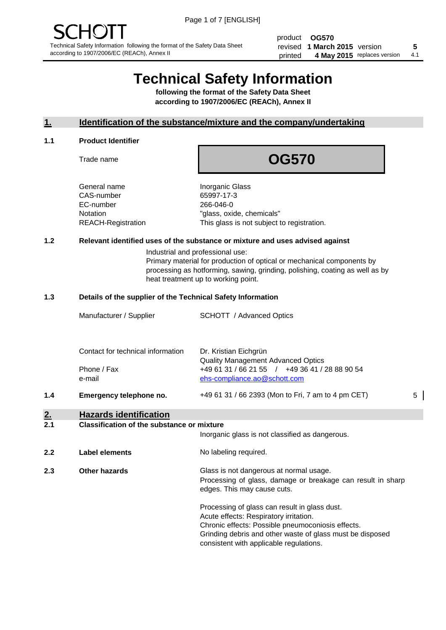product **OG570** revised **5 1 March 2015** version printed 4 May 2015 replaces version 4.1

# **Technical Safety Information**

**following the format of the Safety Data Sheet according to 1907/2006/EC (REACh), Annex II**

#### **1. Identification of the substance/mixture and the company/undertaking**

#### **1.1 Product Identifier**

Trade name

## **OG570**

General name **Inorganic Glass** CAS-number 65997-17-3 EC-number 266-046-0

Notation "glass, oxide, chemicals" REACH-Registration This glass is not subject to registration.

#### **1.2 Relevant identified uses of the substance or mixture and uses advised against**

Industrial and professional use: Primary material for production of optical or mechanical components by processing as hotforming, sawing, grinding, polishing, coating as well as by heat treatment up to working point.

#### **1.3 Details of the supplier of the Technical Safety Information**

|     | Manufacturer / Supplier           | <b>SCHOTT</b> / Advanced Optics                                                |   |
|-----|-----------------------------------|--------------------------------------------------------------------------------|---|
|     | Contact for technical information | Dr. Kristian Eichgrün<br>Quality Management Advanced Optics                    |   |
|     | Phone / Fax<br>e-mail             | +49 61 31 / 66 21 55 / +49 36 41 / 28 88 90 54<br>ehs-compliance.ao@schott.com |   |
| 1.4 | Emergency telephone no.           | +49 61 31 / 66 2393 (Mon to Fri, 7 am to 4 pm CET)                             | 5 |
| 2.  | <b>Hazards identification</b>     |                                                                                |   |

#### **2.1 Classification of the substance or mixture**

|     |                      | Inorganic glass is not classified as dangerous.                                                                                                                                                                                                      |
|-----|----------------------|------------------------------------------------------------------------------------------------------------------------------------------------------------------------------------------------------------------------------------------------------|
| 2.2 | Label elements       | No labeling required.                                                                                                                                                                                                                                |
| 2.3 | <b>Other hazards</b> | Glass is not dangerous at normal usage.<br>Processing of glass, damage or breakage can result in sharp<br>edges. This may cause cuts.                                                                                                                |
|     |                      | Processing of glass can result in glass dust.<br>Acute effects: Respiratory irritation.<br>Chronic effects: Possible pneumoconiosis effects.<br>Grinding debris and other waste of glass must be disposed<br>consistent with applicable regulations. |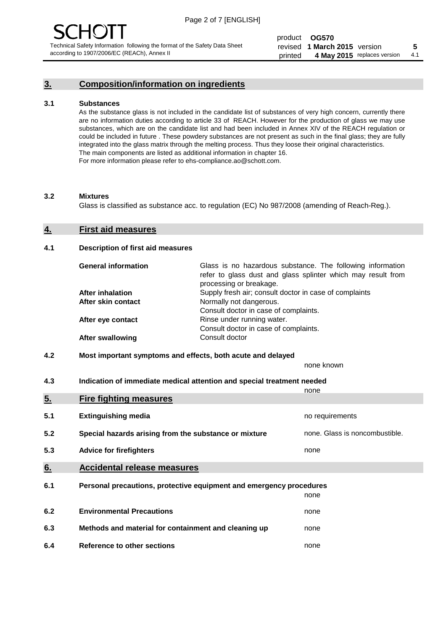#### **3. Composition/information on ingredients**

#### **3.1 Substances**

As the substance glass is not included in the candidate list of substances of very high concern, currently there are no information duties according to article 33 of REACH. However for the production of glass we may use substances, which are on the candidate list and had been included in Annex XIV of the REACH regulation or could be included in future . These powdery substances are not present as such in the final glass; they are fully integrated into the glass matrix through the melting process. Thus they loose their original characteristics. The main components are listed as additional information in chapter 16. For more information please refer to ehs-compliance.ao@schott.com.

#### **3.2 Mixtures**

Glass is classified as substance acc. to regulation (EC) No 987/2008 (amending of Reach-Reg.).

#### **4. First aid measures**

#### **4.1 Description of first aid measures**

| <b>General information</b> | Glass is no hazardous substance. The following information<br>refer to glass dust and glass splinter which may result from<br>processing or breakage. |
|----------------------------|-------------------------------------------------------------------------------------------------------------------------------------------------------|
| After inhalation           | Supply fresh air; consult doctor in case of complaints                                                                                                |
| After skin contact         | Normally not dangerous.                                                                                                                               |
|                            | Consult doctor in case of complaints.                                                                                                                 |
| After eye contact          | Rinse under running water.                                                                                                                            |
|                            | Consult doctor in case of complaints.                                                                                                                 |
| <b>After swallowing</b>    | Consult doctor                                                                                                                                        |

#### **4.2 Most important symptoms and effects, both acute and delayed**

none known

**4.3 Indication of immediate medical attention and special treatment needed** 

|     |                                                                     | none                           |  |
|-----|---------------------------------------------------------------------|--------------------------------|--|
| 5.  | <b>Fire fighting measures</b>                                       |                                |  |
| 5.1 | <b>Extinguishing media</b>                                          | no requirements                |  |
| 5.2 | Special hazards arising from the substance or mixture               | none. Glass is noncombustible. |  |
| 5.3 | <b>Advice for firefighters</b>                                      | none                           |  |
| 6.  | <b>Accidental release measures</b>                                  |                                |  |
| 6.1 | Personal precautions, protective equipment and emergency procedures |                                |  |
|     |                                                                     | none                           |  |
| 6.2 | <b>Environmental Precautions</b>                                    | none                           |  |
| 6.3 | Methods and material for containment and cleaning up                | none                           |  |
| 6.4 | Reference to other sections                                         | none                           |  |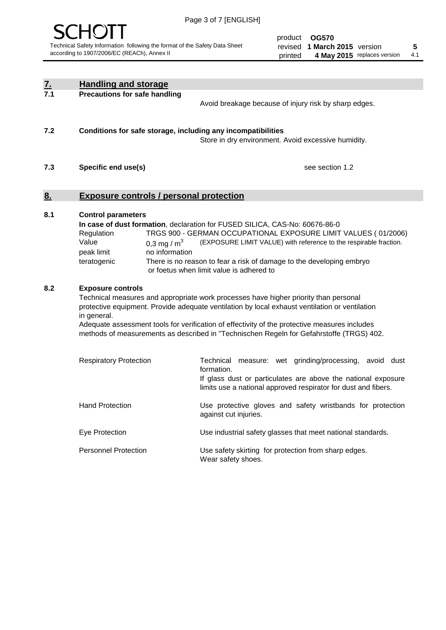

product **OG570** revised **5 1 March 2015** version printed 4 May 2015 replaces version 4.1

| <u>7.</u> | <b>Handling and storage</b>                                                                                      |                                                                                                                                                                                                                                                                                                                                                                                     |
|-----------|------------------------------------------------------------------------------------------------------------------|-------------------------------------------------------------------------------------------------------------------------------------------------------------------------------------------------------------------------------------------------------------------------------------------------------------------------------------------------------------------------------------|
| 7.1       | <b>Precautions for safe handling</b>                                                                             | Avoid breakage because of injury risk by sharp edges.                                                                                                                                                                                                                                                                                                                               |
| 7.2       | Conditions for safe storage, including any incompatibilities                                                     | Store in dry environment. Avoid excessive humidity.                                                                                                                                                                                                                                                                                                                                 |
| 7.3       | Specific end use(s)                                                                                              | see section 1.2                                                                                                                                                                                                                                                                                                                                                                     |
| <u>8.</u> | <b>Exposure controls / personal protection</b>                                                                   |                                                                                                                                                                                                                                                                                                                                                                                     |
| 8.1       | <b>Control parameters</b><br>Regulation<br>Value<br>0.3 mg / $m3$<br>peak limit<br>no information<br>teratogenic | In case of dust formation, declaration for FUSED SILICA, CAS-No: 60676-86-0<br>TRGS 900 - GERMAN OCCUPATIONAL EXPOSURE LIMIT VALUES (01/2006)<br>(EXPOSURE LIMIT VALUE) with reference to the respirable fraction.<br>There is no reason to fear a risk of damage to the developing embryo<br>or foetus when limit value is adhered to                                              |
| 8.2       | <b>Exposure controls</b><br>in general.                                                                          | Technical measures and appropriate work processes have higher priority than personal<br>protective equipment. Provide adequate ventilation by local exhaust ventilation or ventilation<br>Adequate assessment tools for verification of effectivity of the protective measures includes<br>methods of measurements as described in "Technischen Regeln for Gefahrstoffe (TRGS) 402. |
|           | <b>Respiratory Protection</b>                                                                                    | Technical measure: wet grinding/processing, avoid dust<br>formation.<br>If glass dust or particulates are above the national exposure<br>limits use a national approved respirator for dust and fibers.                                                                                                                                                                             |
|           | <b>Hand Protection</b>                                                                                           | Use protective gloves and safety wristbands for protection<br>against cut injuries.                                                                                                                                                                                                                                                                                                 |
|           | Eye Protection                                                                                                   | Use industrial safety glasses that meet national standards.                                                                                                                                                                                                                                                                                                                         |
|           | <b>Personnel Protection</b>                                                                                      | Use safety skirting for protection from sharp edges.<br>Wear safety shoes.                                                                                                                                                                                                                                                                                                          |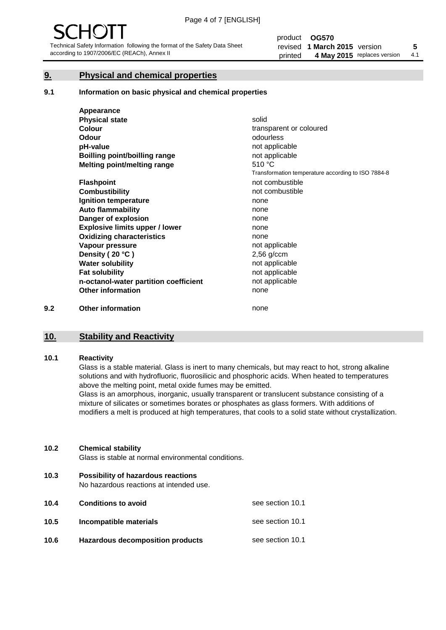#### **9. Physical and chemical properties**

#### **9.1 Information on basic physical and chemical properties**

|     | Appearance                            |                                                    |
|-----|---------------------------------------|----------------------------------------------------|
|     | <b>Physical state</b>                 | solid                                              |
|     | <b>Colour</b>                         | transparent or coloured                            |
|     | <b>Odour</b>                          | odourless                                          |
|     | pH-value                              | not applicable                                     |
|     | Boilling point/boilling range         | not applicable                                     |
|     | Melting point/melting range           | 510 °C                                             |
|     |                                       | Transformation temperature according to ISO 7884-8 |
|     | <b>Flashpoint</b>                     | not combustible                                    |
|     | <b>Combustibility</b>                 | not combustible                                    |
|     | Ignition temperature                  | none                                               |
|     | <b>Auto flammability</b>              | none                                               |
|     | Danger of explosion                   | none                                               |
|     | <b>Explosive limits upper / lower</b> | none                                               |
|     | <b>Oxidizing characteristics</b>      | none                                               |
|     | Vapour pressure                       | not applicable                                     |
|     | Density (20 °C)                       | $2,56$ g/ccm                                       |
|     | <b>Water solubility</b>               | not applicable                                     |
|     | <b>Fat solubility</b>                 | not applicable                                     |
|     | n-octanol-water partition coefficient | not applicable                                     |
|     | <b>Other information</b>              | none                                               |
| 9.2 | <b>Other information</b>              | none                                               |

#### **10. Stability and Reactivity**

#### **10.1 Reactivity**

Glass is a stable material. Glass is inert to many chemicals, but may react to hot, strong alkaline solutions and with hydrofluoric, fluorosilicic and phosphoric acids. When heated to temperatures above the melting point, metal oxide fumes may be emitted.

Glass is an amorphous, inorganic, usually transparent or translucent substance consisting of a mixture of silicates or sometimes borates or phosphates as glass formers. With additions of modifiers a melt is produced at high temperatures, that cools to a solid state without crystallization.

#### **10.2 Chemical stability**

Glass is stable at normal environmental conditions.

**10.3 Possibility of hazardous reactions** 

No hazardous reactions at intended use.

| 10.4 | <b>Conditions to avoid</b>              | see section 10.1 |
|------|-----------------------------------------|------------------|
| 10.5 | Incompatible materials                  | see section 10.1 |
| 10.6 | <b>Hazardous decomposition products</b> | see section 10.1 |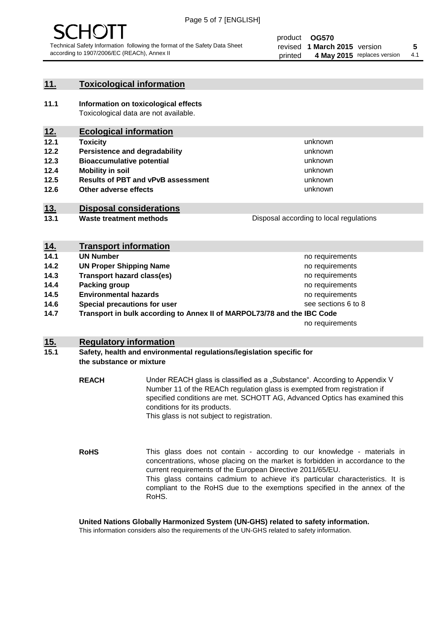

unknown unknown unknown unknown

unknown unknown

Disposal according to local regulations

#### **11. Toxicological information**

**11.1 Information on toxicological effects** Toxicological data are not available.

### **12. Ecological information**

- **12.1 Toxicity**
- **12.2 Persistence and degradability**
- **12.3 Bioaccumulative potential**
- **12.4 Mobility in soil**
- **12.5 Results of PBT and vPvB assessment**
- **12.6 Other adverse effects**

#### **13. Disposal considerations**

**13.1 Waste treatment methods**

| <b>Proposal according to local regulations</b> |  |
|------------------------------------------------|--|
|                                                |  |
|                                                |  |
|                                                |  |

| <u>14.</u> | <b>Transport information</b>                                            |                     |
|------------|-------------------------------------------------------------------------|---------------------|
| 14.1       | <b>UN Number</b>                                                        | no requirements     |
| 14.2       | <b>UN Proper Shipping Name</b>                                          | no requirements     |
| 14.3       | <b>Transport hazard class(es)</b>                                       | no requirements     |
| 14.4       | Packing group                                                           | no requirements     |
| 14.5       | <b>Environmental hazards</b>                                            | no requirements     |
| 14.6       | Special precautions for user                                            | see sections 6 to 8 |
| 14.7       | Transport in bulk according to Annex II of MARPOL73/78 and the IBC Code |                     |
|            |                                                                         | no requirements     |

#### **15. Regulatory information**

#### **15.1 Safety, health and environmental regulations/legislation specific for the substance or mixture**

**REACH** Under REACH glass is classified as a "Substance". According to Appendix V Number 11 of the REACh regulation glass is exempted from registration if specified conditions are met. SCHOTT AG, Advanced Optics has examined this conditions for its products. This glass is not subject to registration.

**RoHS** This glass does not contain - according to our knowledge - materials in concentrations, whose placing on the market is forbidden in accordance to the current requirements of the European Directive 2011/65/EU. This glass contains cadmium to achieve it's particular characteristics. It is compliant to the RoHS due to the exemptions specified in the annex of the RoHS.

**United Nations Globally Harmonized System (UN-GHS) related to safety information.**

This information considers also the requirements of the UN-GHS related to safety information.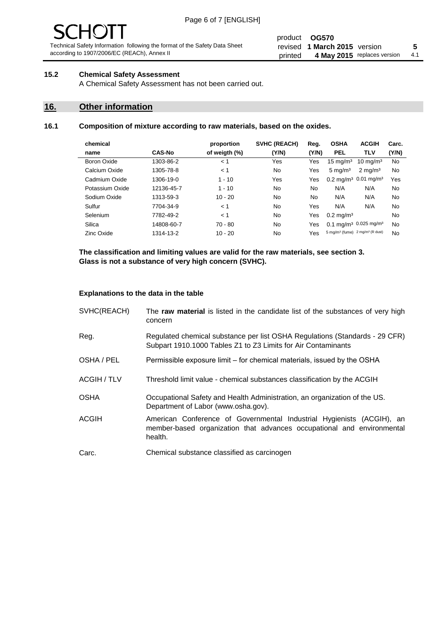# - JF

Technical Safety Information following the format of the Safety Data Sheet according to 1907/2006/EC (REACh), Annex II

#### product **OG570** revised **5 1 March 2015** version printed 4 May 2015 replaces version 4.1

#### **15.2 Chemical Safety Assessment**

A Chemical Safety Assessment has not been carried out.

#### **16. Other information**

#### **16.1 Composition of mixture according to raw materials, based on the oxides.**

| chemical        |               | proportion    | SVHC (REACH) | Reg.  | <b>OSHA</b>                                             | <b>ACGIH</b>                                  | Carc. |
|-----------------|---------------|---------------|--------------|-------|---------------------------------------------------------|-----------------------------------------------|-------|
| name            | <b>CAS-No</b> | of weigth (%) | (Y/N)        | (Y/N) | <b>PEL</b>                                              | <b>TLV</b>                                    | (Y/N) |
| Boron Oxide     | 1303-86-2     | < 1           | Yes          | Yes   | $15 \text{ mg/m}^3$                                     | $10 \text{ mg/m}^3$                           | No    |
| Calcium Oxide   | 1305-78-8     | < 1           | No           | Yes   | $5 \text{ mg/m}^3$                                      | $2 \text{ mg/m}^3$                            | No    |
| Cadmium Oxide   | 1306-19-0     | $1 - 10$      | Yes          | Yes   |                                                         | $0.2 \text{ mg/m}^3$ 0.01 mg/m <sup>3</sup>   | Yes   |
| Potassium Oxide | 12136-45-7    | $1 - 10$      | No           | No    | N/A                                                     | N/A                                           | No    |
| Sodium Oxide    | 1313-59-3     | $10 - 20$     | No           | No.   | N/A                                                     | N/A                                           | No    |
| Sulfur          | 7704-34-9     | < 1           | No           | Yes   | N/A                                                     | N/A                                           | No    |
| Selenium        | 7782-49-2     | < 1           | No           | Yes   | $0.2 \,\mathrm{mg/m^3}$                                 |                                               | No    |
| Silica          | 14808-60-7    | $70 - 80$     | No.          | Yes   |                                                         | 0.1 mg/m <sup>3</sup> 0.025 mg/m <sup>3</sup> | No    |
| Zinc Oxide      | 1314-13-2     | $10 - 20$     | No           | Yes   | 5 mg/m <sup>3</sup> (fume) 2 mg/m <sup>3</sup> (R dust) |                                               | No    |

**The classification and limiting values are valid for the raw materials, see section 3. Glass is not a substance of very high concern (SVHC).**

#### **Explanations to the data in the table**

| SVHC(REACH)        | The raw material is listed in the candidate list of the substances of very high<br>concern                                                                 |
|--------------------|------------------------------------------------------------------------------------------------------------------------------------------------------------|
| Reg.               | Regulated chemical substance per list OSHA Regulations (Standards - 29 CFR)<br>Subpart 1910.1000 Tables Z1 to Z3 Limits for Air Contaminants               |
| OSHA / PEL         | Permissible exposure limit – for chemical materials, issued by the OSHA                                                                                    |
| <b>ACGIH / TLV</b> | Threshold limit value - chemical substances classification by the ACGIH                                                                                    |
| <b>OSHA</b>        | Occupational Safety and Health Administration, an organization of the US.<br>Department of Labor (www.osha.gov).                                           |
| ACGIH              | American Conference of Governmental Industrial Hygienists (ACGIH), an<br>member-based organization that advances occupational and environmental<br>health. |
| Carc.              | Chemical substance classified as carcinogen                                                                                                                |